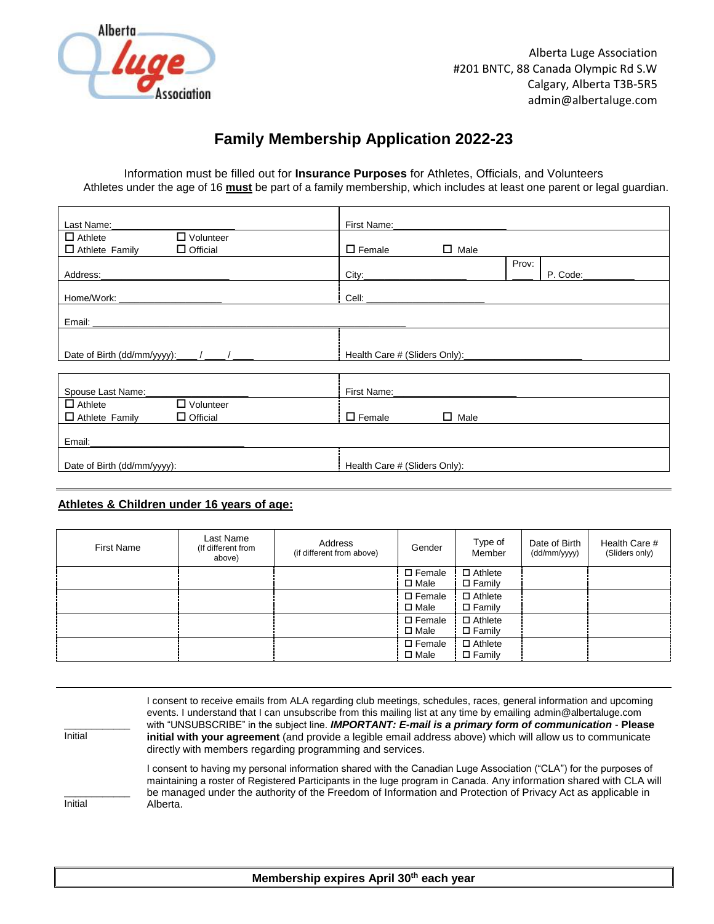

## **Family Membership Application 2022-23**

Information must be filled out for **Insurance Purposes** for Athletes, Officials, and Volunteers Athletes under the age of 16 **must** be part of a family membership, which includes at least one parent or legal guardian.

|                                                           | First Name: Name:               |       |          |
|-----------------------------------------------------------|---------------------------------|-------|----------|
| $\Box$ Volunteer<br>$\Box$ Athlete                        |                                 |       |          |
| $\Box$ Athlete Family<br>$\Box$ Official                  | $\square$ Female<br>$\Box$ Male |       |          |
|                                                           |                                 | Prov: |          |
| Address:                                                  |                                 |       | P. Code: |
|                                                           |                                 |       |          |
|                                                           |                                 |       |          |
|                                                           |                                 |       |          |
| Date of Birth (dd/mm/yyyy): $\frac{1}{2}$ / $\frac{1}{2}$ |                                 |       |          |
|                                                           |                                 |       |          |
| Spouse Last Name:                                         |                                 |       |          |
| $\overline{\Box}$ Volunteer<br>$\Box$ Athlete             |                                 |       |          |
|                                                           | $\square$ Female<br>$\Box$ Male |       |          |
| $\Box$ Official<br>$\Box$ Athlete Family                  |                                 |       |          |
|                                                           |                                 |       |          |
|                                                           |                                 |       |          |

## **Athletes & Children under 16 years of age:**

| <b>First Name</b> | Last Name<br>(If different from<br>above) | Address<br>(if different from above) | Gender                             | Type of<br>Member                  | Date of Birth<br>(dd/mm/yyyy) | Health Care #<br>(Sliders only) |
|-------------------|-------------------------------------------|--------------------------------------|------------------------------------|------------------------------------|-------------------------------|---------------------------------|
|                   |                                           |                                      | $\square$ Female<br>$\square$ Male | $\Box$ Athlete<br>$\square$ Family |                               |                                 |
|                   |                                           |                                      | $\square$ Female<br>$\square$ Male | $\Box$ Athlete<br>$\square$ Family |                               |                                 |
|                   |                                           |                                      | $\square$ Female<br>$\square$ Male | $\Box$ Athlete<br>$\square$ Family |                               |                                 |
|                   |                                           |                                      | $\square$ Female<br>$\square$ Male | $\Box$ Athlete<br>$\square$ Family |                               |                                 |

| Initial | I consent to receive emails from ALA regarding club meetings, schedules, races, general information and upcoming<br>events. I understand that I can unsubscribe from this mailing list at any time by emailing admin@albertaluge.com<br>with "UNSUBSCRIBE" in the subject line. IMPORTANT: E-mail is a primary form of communication - Please<br>initial with your agreement (and provide a legible email address above) which will allow us to communicate<br>directly with members regarding programming and services. |
|---------|--------------------------------------------------------------------------------------------------------------------------------------------------------------------------------------------------------------------------------------------------------------------------------------------------------------------------------------------------------------------------------------------------------------------------------------------------------------------------------------------------------------------------|
| Initial | I consent to having my personal information shared with the Canadian Luge Association ("CLA") for the purposes of<br>maintaining a roster of Registered Participants in the luge program in Canada. Any information shared with CLA will<br>be managed under the authority of the Freedom of Information and Protection of Privacy Act as applicable in<br>Alberta.                                                                                                                                                      |